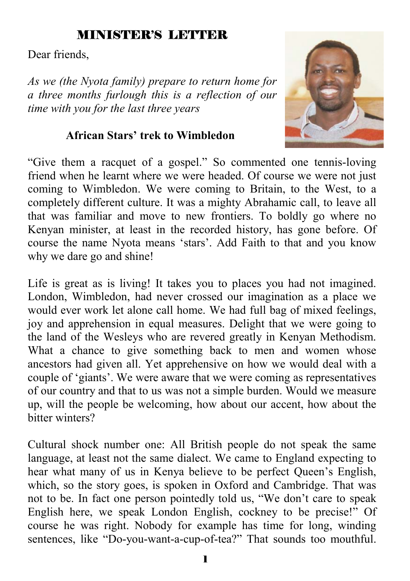#### MINISTER'S LETTER

Dear friends,

*As we (the Nyota family) prepare to return home for a three months furlough this is a reflection of our time with you for the last three years* 

#### **African Stars' trek to Wimbledon**



"Give them a racquet of a gospel." So commented one tennis-loving friend when he learnt where we were headed. Of course we were not just coming to Wimbledon. We were coming to Britain, to the West, to a completely different culture. It was a mighty Abrahamic call, to leave all that was familiar and move to new frontiers. To boldly go where no Kenyan minister, at least in the recorded history, has gone before. Of course the name Nyota means 'stars'. Add Faith to that and you know why we dare go and shine!

Life is great as is living! It takes you to places you had not imagined. London, Wimbledon, had never crossed our imagination as a place we would ever work let alone call home. We had full bag of mixed feelings, joy and apprehension in equal measures. Delight that we were going to the land of the Wesleys who are revered greatly in Kenyan Methodism. What a chance to give something back to men and women whose ancestors had given all. Yet apprehensive on how we would deal with a couple of 'giants'. We were aware that we were coming as representatives of our country and that to us was not a simple burden. Would we measure up, will the people be welcoming, how about our accent, how about the bitter winters?

Cultural shock number one: All British people do not speak the same language, at least not the same dialect. We came to England expecting to hear what many of us in Kenya believe to be perfect Queen's English, which, so the story goes, is spoken in Oxford and Cambridge. That was not to be. In fact one person pointedly told us, "We don't care to speak English here, we speak London English, cockney to be precise!" Of course he was right. Nobody for example has time for long, winding sentences, like "Do-you-want-a-cup-of-tea?" That sounds too mouthful.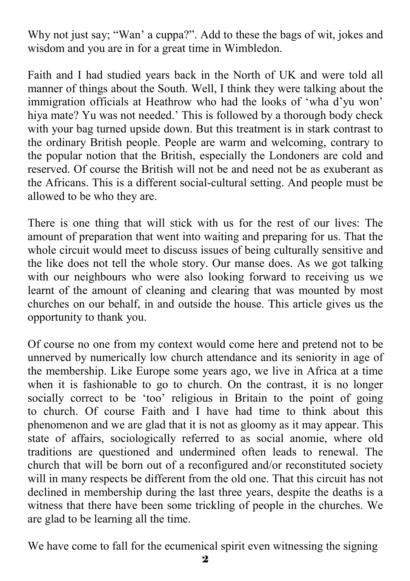Why not just say; "Wan' a cuppa?". Add to these the bags of wit, jokes and wisdom and you are in for a great time in Wimbledon.

Faith and I had studied years back in the North of UK and were told all manner of things about the South. Well, I think they were talking about the immigration officials at Heathrow who had the looks of 'wha d'yu won' hiya mate? Yu was not needed.' This is followed by a thorough body check with your bag turned upside down. But this treatment is in stark contrast to the ordinary British people. People are warm and welcoming, contrary to the popular notion that the British, especially the Londoners are cold and reserved. Of course the British will not be and need not be as exuberant as the Africans. This is a different social-cultural setting. And people must be allowed to be who they are.

There is one thing that will stick with us for the rest of our lives: The amount of preparation that went into waiting and preparing for us. That the whole circuit would meet to discuss issues of being culturally sensitive and the like does not tell the whole story. Our manse does. As we got talking with our neighbours who were also looking forward to receiving us we learnt of the amount of cleaning and clearing that was mounted by most churches on our behalf, in and outside the house. This article gives us the opportunity to thank you.

Of course no one from my context would come here and pretend not to be unnerved by numerically low church attendance and its seniority in age of the membership. Like Europe some years ago, we live in Africa at a time when it is fashionable to go to church. On the contrast, it is no longer socially correct to be 'too' religious in Britain to the point of going to church. Of course Faith and I have had time to think about this phenomenon and we are glad that it is not as gloomy as it may appear. This state of affairs, sociologically referred to as social anomie, where old traditions are questioned and undermined often leads to renewal. The church that will be born out of a reconfigured and/or reconstituted society will in many respects be different from the old one. That this circuit has not declined in membership during the last three years, despite the deaths is a witness that there have been some trickling of people in the churches. We are glad to be learning all the time.

We have come to fall for the ecumenical spirit even witnessing the signing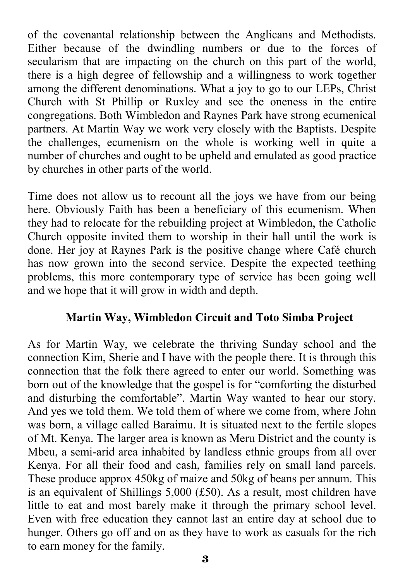of the covenantal relationship between the Anglicans and Methodists. Either because of the dwindling numbers or due to the forces of secularism that are impacting on the church on this part of the world, there is a high degree of fellowship and a willingness to work together among the different denominations. What a joy to go to our LEPs, Christ Church with St Phillip or Ruxley and see the oneness in the entire congregations. Both Wimbledon and Raynes Park have strong ecumenical partners. At Martin Way we work very closely with the Baptists. Despite the challenges, ecumenism on the whole is working well in quite a number of churches and ought to be upheld and emulated as good practice by churches in other parts of the world.

Time does not allow us to recount all the joys we have from our being here. Obviously Faith has been a beneficiary of this ecumenism. When they had to relocate for the rebuilding project at Wimbledon, the Catholic Church opposite invited them to worship in their hall until the work is done. Her joy at Raynes Park is the positive change where Café church has now grown into the second service. Despite the expected teething problems, this more contemporary type of service has been going well and we hope that it will grow in width and depth.

#### **Martin Way, Wimbledon Circuit and Toto Simba Project**

As for Martin Way, we celebrate the thriving Sunday school and the connection Kim, Sherie and I have with the people there. It is through this connection that the folk there agreed to enter our world. Something was born out of the knowledge that the gospel is for "comforting the disturbed and disturbing the comfortable". Martin Way wanted to hear our story. And yes we told them. We told them of where we come from, where John was born, a village called Baraimu. It is situated next to the fertile slopes of Mt. Kenya. The larger area is known as Meru District and the county is Mbeu, a semi-arid area inhabited by landless ethnic groups from all over Kenya. For all their food and cash, families rely on small land parcels. These produce approx 450kg of maize and 50kg of beans per annum. This is an equivalent of Shillings 5,000 (£50). As a result, most children have little to eat and most barely make it through the primary school level. Even with free education they cannot last an entire day at school due to hunger. Others go off and on as they have to work as casuals for the rich to earn money for the family.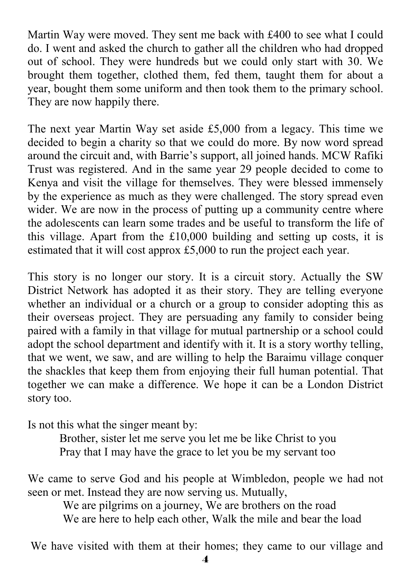Martin Way were moved. They sent me back with £400 to see what I could do. I went and asked the church to gather all the children who had dropped out of school. They were hundreds but we could only start with 30. We brought them together, clothed them, fed them, taught them for about a year, bought them some uniform and then took them to the primary school. They are now happily there.

The next year Martin Way set aside £5,000 from a legacy. This time we decided to begin a charity so that we could do more. By now word spread around the circuit and, with Barrie's support, all joined hands. MCW Rafiki Trust was registered. And in the same year 29 people decided to come to Kenya and visit the village for themselves. They were blessed immensely by the experience as much as they were challenged. The story spread even wider. We are now in the process of putting up a community centre where the adolescents can learn some trades and be useful to transform the life of this village. Apart from the £10,000 building and setting up costs, it is estimated that it will cost approx £5,000 to run the project each year.

This story is no longer our story. It is a circuit story. Actually the SW District Network has adopted it as their story. They are telling everyone whether an individual or a church or a group to consider adopting this as their overseas project. They are persuading any family to consider being paired with a family in that village for mutual partnership or a school could adopt the school department and identify with it. It is a story worthy telling, that we went, we saw, and are willing to help the Baraimu village conquer the shackles that keep them from enjoying their full human potential. That together we can make a difference. We hope it can be a London District story too.

Is not this what the singer meant by:

 Brother, sister let me serve you let me be like Christ to you Pray that I may have the grace to let you be my servant too

We came to serve God and his people at Wimbledon, people we had not seen or met. Instead they are now serving us. Mutually,

We are pilgrims on a journey, We are brothers on the road We are here to help each other, Walk the mile and bear the load

We have visited with them at their homes; they came to our village and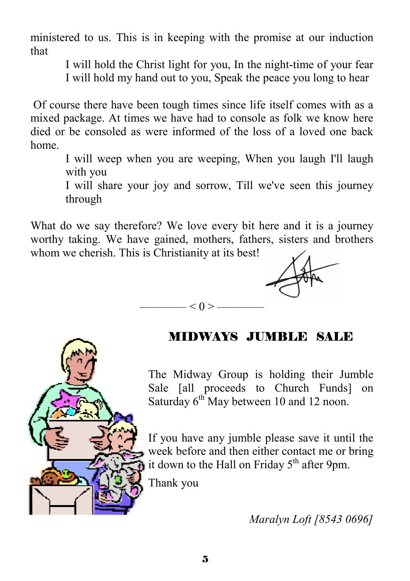ministered to us. This is in keeping with the promise at our induction that

I will hold the Christ light for you, In the night-time of your fear

I will hold my hand out to you, Speak the peace you long to hear

 Of course there have been tough times since life itself comes with as a mixed package. At times we have had to console as folk we know here died or be consoled as were informed of the loss of a loved one back home.

I will weep when you are weeping, When you laugh I'll laugh with you

I will share your joy and sorrow, Till we've seen this journey through

What do we say therefore? We love every bit here and it is a journey worthy taking. We have gained, mothers, fathers, sisters and brothers whom we cherish. This is Christianity at its best!

 $- < 0 > -$ 

### MIDWAYS JUMBLE SALE

The Midway Group is holding their Jumble Sale [all proceeds to Church Funds] on Saturday 6<sup>th</sup> May between 10 and 12 noon.

If you have any jumble please save it until the week before and then either contact me or bring it down to the Hall on Friday  $5<sup>th</sup>$  after 9pm.

Thank you

*Maralyn Loft [8543 0696]*

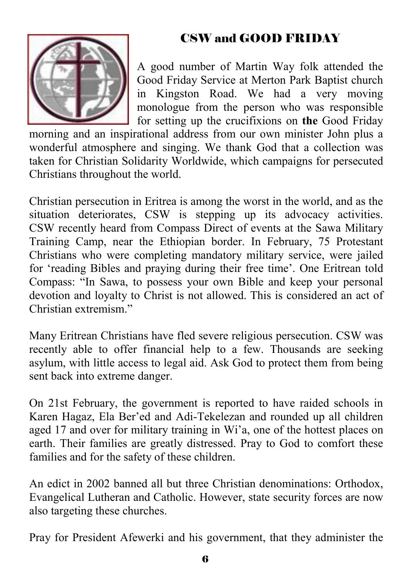## CSW and GOOD FRIDAY



A good number of Martin Way folk attended the Good Friday Service at Merton Park Baptist church in Kingston Road. We had a very moving monologue from the person who was responsible for setting up the crucifixions on **the** Good Friday

morning and an inspirational address from our own minister John plus a wonderful atmosphere and singing. We thank God that a collection was taken for Christian Solidarity Worldwide, which campaigns for persecuted Christians throughout the world.

Christian persecution in Eritrea is among the worst in the world, and as the situation deteriorates, CSW is stepping up its advocacy activities. CSW recently heard from Compass Direct of events at the Sawa Military Training Camp, near the Ethiopian border. In February, 75 Protestant Christians who were completing mandatory military service, were jailed for 'reading Bibles and praying during their free time'. One Eritrean told Compass: "In Sawa, to possess your own Bible and keep your personal devotion and loyalty to Christ is not allowed. This is considered an act of Christian extremism."

Many Eritrean Christians have fled severe religious persecution. CSW was recently able to offer financial help to a few. Thousands are seeking asylum, with little access to legal aid. Ask God to protect them from being sent back into extreme danger.

On 21st February, the government is reported to have raided schools in Karen Hagaz, Ela Ber'ed and Adi-Tekelezan and rounded up all children aged 17 and over for military training in Wi'a, one of the hottest places on earth. Their families are greatly distressed. Pray to God to comfort these families and for the safety of these children.

An edict in 2002 banned all but three Christian denominations: Orthodox, Evangelical Lutheran and Catholic. However, state security forces are now also targeting these churches.

Pray for President Afewerki and his government, that they administer the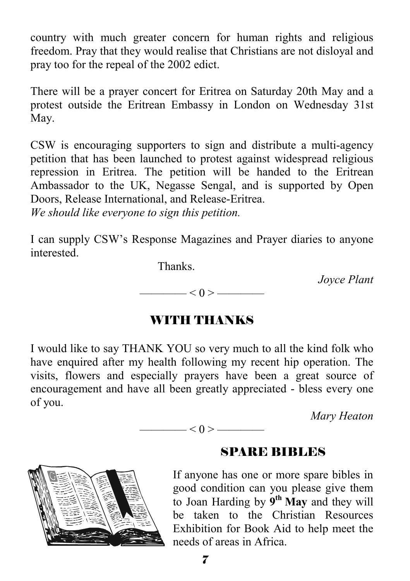country with much greater concern for human rights and religious freedom. Pray that they would realise that Christians are not disloyal and pray too for the repeal of the 2002 edict.

There will be a prayer concert for Eritrea on Saturday 20th May and a protest outside the Eritrean Embassy in London on Wednesday 31st May.

CSW is encouraging supporters to sign and distribute a multi-agency petition that has been launched to protest against widespread religious repression in Eritrea. The petition will be handed to the Eritrean Ambassador to the UK, Negasse Sengal, and is supported by Open Doors, Release International, and Release-Eritrea.

*We should like everyone to sign this petition.* 

I can supply CSW's Response Magazines and Prayer diaries to anyone **interested** 

Thanks.

*Joyce Plant* 

 $<$  0 >  $-$ 

#### WITH THANKS

I would like to say THANK YOU so very much to all the kind folk who have enquired after my health following my recent hip operation. The visits, flowers and especially prayers have been a great source of encouragement and have all been greatly appreciated - bless every one of you.

 $<$  0 >  $-$ 

*Mary Heaton* 



#### SPARE BIBLES

If anyone has one or more spare bibles in good condition can you please give them to Joan Harding by **9th May** and they will be taken to the Christian Resources Exhibition for Book Aid to help meet the needs of areas in Africa.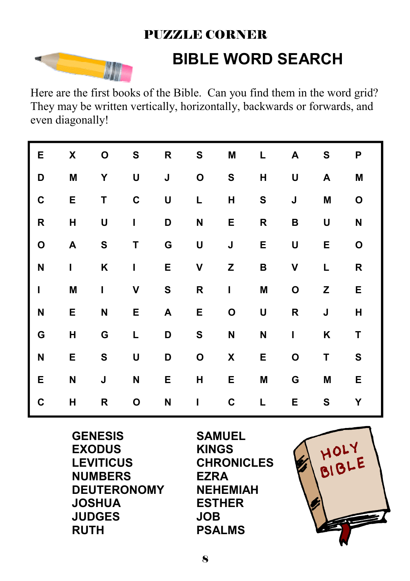## PUZZLE CORNER



# **BIBLE WORD SEARCH**

Here are the first books of the Bible. Can you find them in the word grid? They may be written vertically, horizontally, backwards or forwards, and even diagonally!

| Е            | X | O            | S            | R | S | Μ            | L            | Α            | S | P |
|--------------|---|--------------|--------------|---|---|--------------|--------------|--------------|---|---|
| D            | M | Υ            | U            | J | O | S            | H            | U            | A | M |
| C            | E | T            | $\mathbf c$  | U | L | Н            | ${\bf S}$    | J            | M | O |
| R            | Н | U            | L            | D | N | Е            | R            | B            | U | N |
| O            | A | ${\bf S}$    | T            | G | U | J            | E            | U            | Е | O |
| N            | I | Κ            | $\mathbf{I}$ | E | V | Z            | В            | V            | Г | R |
| $\mathbf{I}$ | M | $\mathbf{I}$ | V            | S | R | $\mathsf I$  | M            | $\mathbf{o}$ | Z | Е |
| N            | Ε | $\mathsf{N}$ | Е            | A | Ε | O            | U            | R            | J | Н |
| G            | Н | G            | L            | D | S | $\mathsf{N}$ | $\mathsf{N}$ | I            | Κ | Τ |
| N            | Е | ${\bf S}$    | U            | D | O | X            | E            | O            | Τ | S |
| E            | N | J            | N            | Е | Н | E            | M            | G            | M | E |
| C            | H | R            | O            | N | I | C            | L            | E            | S | Υ |

**GENESIS EXODUS LEVITICUS NUMBERS DEUTERONOMY JOSHUA JUDGES RUTH**

**SAMUEL KINGS CHRONICLES EZRA NEHEMIAH ESTHER JOB PSALMS**

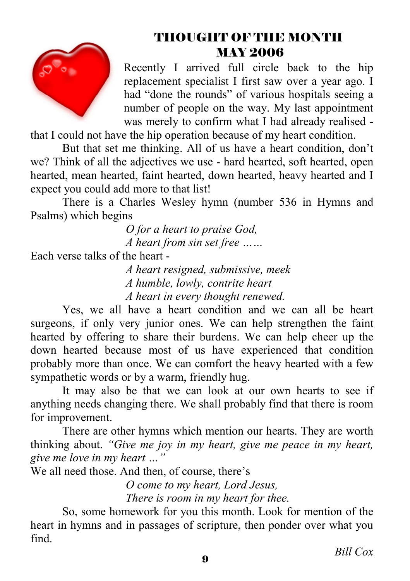

## THOUGHT OF THE MONTH MAY 2006

Recently I arrived full circle back to the hip replacement specialist I first saw over a year ago. I had "done the rounds" of various hospitals seeing a number of people on the way. My last appointment was merely to confirm what I had already realised -

that I could not have the hip operation because of my heart condition.

 But that set me thinking. All of us have a heart condition, don't we? Think of all the adjectives we use - hard hearted, soft hearted, open hearted, mean hearted, faint hearted, down hearted, heavy hearted and I expect you could add more to that list!

 There is a Charles Wesley hymn (number 536 in Hymns and Psalms) which begins

> *O for a heart to praise God, A heart from sin set free ……*

Each verse talks of the heart -

 *A heart resigned, submissive, meek A humble, lowly, contrite heart A heart in every thought renewed.* 

 Yes, we all have a heart condition and we can all be heart surgeons, if only very junior ones. We can help strengthen the faint hearted by offering to share their burdens. We can help cheer up the down hearted because most of us have experienced that condition probably more than once. We can comfort the heavy hearted with a few sympathetic words or by a warm, friendly hug.

 It may also be that we can look at our own hearts to see if anything needs changing there. We shall probably find that there is room for improvement.

 There are other hymns which mention our hearts. They are worth thinking about. *"Give me joy in my heart, give me peace in my heart, give me love in my heart …"* 

We all need those. And then, of course, there's

 *O come to my heart, Lord Jesus, There is room in my heart for thee.* 

 So, some homework for you this month. Look for mention of the heart in hymns and in passages of scripture, then ponder over what you find.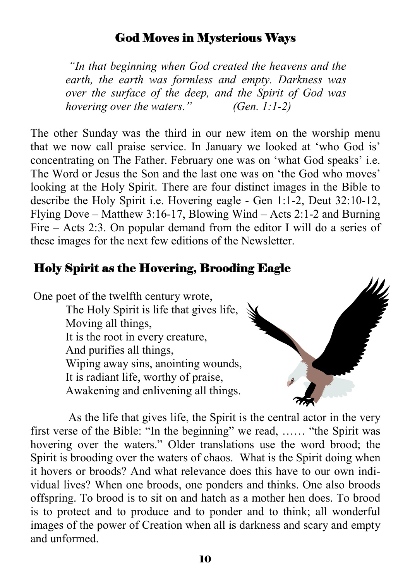#### God Moves in Mysterious Ways

 *"In that beginning when God created the heavens and the earth, the earth was formless and empty. Darkness was over the surface of the deep, and the Spirit of God was hovering over the waters." (Gen. 1:1-2)* 

The other Sunday was the third in our new item on the worship menu that we now call praise service. In January we looked at 'who God is' concentrating on The Father. February one was on 'what God speaks' i.e. The Word or Jesus the Son and the last one was on 'the God who moves' looking at the Holy Spirit. There are four distinct images in the Bible to describe the Holy Spirit i.e. Hovering eagle - Gen 1:1-2, Deut 32:10-12, Flying Dove – Matthew 3:16-17, Blowing Wind – Acts 2:1-2 and Burning Fire – Acts 2:3. On popular demand from the editor I will do a series of these images for the next few editions of the Newsletter.

#### Holy Spirit as the Hovering, Brooding Eagle

 One poet of the twelfth century wrote, The Holy Spirit is life that gives life, Moving all things, It is the root in every creature,

And purifies all things,

Wiping away sins, anointing wounds,

It is radiant life, worthy of praise,

Awakening and enlivening all things.

 As the life that gives life, the Spirit is the central actor in the very first verse of the Bible: "In the beginning" we read, …… "the Spirit was hovering over the waters." Older translations use the word brood; the Spirit is brooding over the waters of chaos. What is the Spirit doing when it hovers or broods? And what relevance does this have to our own individual lives? When one broods, one ponders and thinks. One also broods offspring. To brood is to sit on and hatch as a mother hen does. To brood is to protect and to produce and to ponder and to think; all wonderful images of the power of Creation when all is darkness and scary and empty and unformed.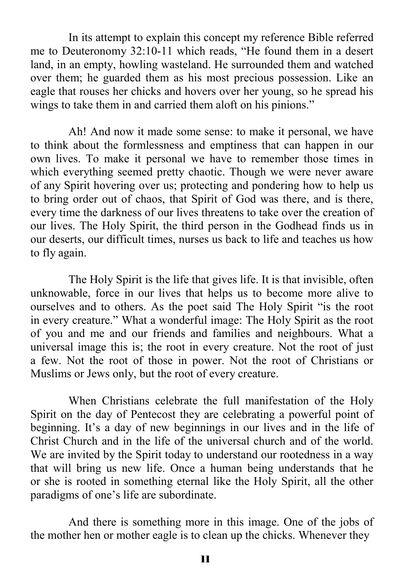In its attempt to explain this concept my reference Bible referred me to Deuteronomy 32:10-11 which reads, "He found them in a desert land, in an empty, howling wasteland. He surrounded them and watched over them; he guarded them as his most precious possession. Like an eagle that rouses her chicks and hovers over her young, so he spread his wings to take them in and carried them aloft on his pinions."

 Ah! And now it made some sense: to make it personal, we have to think about the formlessness and emptiness that can happen in our own lives. To make it personal we have to remember those times in which everything seemed pretty chaotic. Though we were never aware of any Spirit hovering over us; protecting and pondering how to help us to bring order out of chaos, that Spirit of God was there, and is there, every time the darkness of our lives threatens to take over the creation of our lives. The Holy Spirit, the third person in the Godhead finds us in our deserts, our difficult times, nurses us back to life and teaches us how to fly again.

 The Holy Spirit is the life that gives life. It is that invisible, often unknowable, force in our lives that helps us to become more alive to ourselves and to others. As the poet said The Holy Spirit "is the root in every creature." What a wonderful image: The Holy Spirit as the root of you and me and our friends and families and neighbours. What a universal image this is; the root in every creature. Not the root of just a few. Not the root of those in power. Not the root of Christians or Muslims or Jews only, but the root of every creature.

 When Christians celebrate the full manifestation of the Holy Spirit on the day of Pentecost they are celebrating a powerful point of beginning. It's a day of new beginnings in our lives and in the life of Christ Church and in the life of the universal church and of the world. We are invited by the Spirit today to understand our rootedness in a way that will bring us new life. Once a human being understands that he or she is rooted in something eternal like the Holy Spirit, all the other paradigms of one's life are subordinate.

 And there is something more in this image. One of the jobs of the mother hen or mother eagle is to clean up the chicks. Whenever they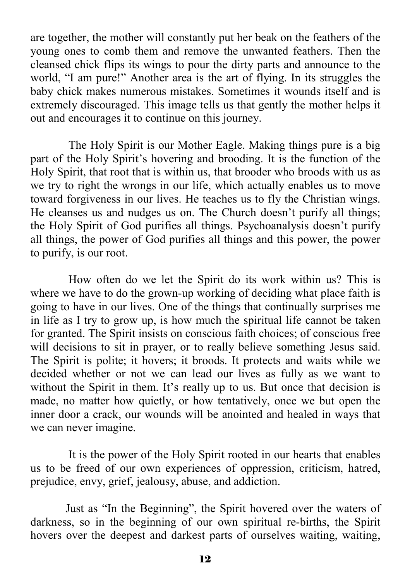are together, the mother will constantly put her beak on the feathers of the young ones to comb them and remove the unwanted feathers. Then the cleansed chick flips its wings to pour the dirty parts and announce to the world, "I am pure!" Another area is the art of flying. In its struggles the baby chick makes numerous mistakes. Sometimes it wounds itself and is extremely discouraged. This image tells us that gently the mother helps it out and encourages it to continue on this journey.

 The Holy Spirit is our Mother Eagle. Making things pure is a big part of the Holy Spirit's hovering and brooding. It is the function of the Holy Spirit, that root that is within us, that brooder who broods with us as we try to right the wrongs in our life, which actually enables us to move toward forgiveness in our lives. He teaches us to fly the Christian wings. He cleanses us and nudges us on. The Church doesn't purify all things; the Holy Spirit of God purifies all things. Psychoanalysis doesn't purify all things, the power of God purifies all things and this power, the power to purify, is our root.

 How often do we let the Spirit do its work within us? This is where we have to do the grown-up working of deciding what place faith is going to have in our lives. One of the things that continually surprises me in life as I try to grow up, is how much the spiritual life cannot be taken for granted. The Spirit insists on conscious faith choices; of conscious free will decisions to sit in prayer, or to really believe something Jesus said. The Spirit is polite; it hovers; it broods. It protects and waits while we decided whether or not we can lead our lives as fully as we want to without the Spirit in them. It's really up to us. But once that decision is made, no matter how quietly, or how tentatively, once we but open the inner door a crack, our wounds will be anointed and healed in ways that we can never imagine.

 It is the power of the Holy Spirit rooted in our hearts that enables us to be freed of our own experiences of oppression, criticism, hatred, prejudice, envy, grief, jealousy, abuse, and addiction.

Just as "In the Beginning", the Spirit hovered over the waters of darkness, so in the beginning of our own spiritual re-births, the Spirit hovers over the deepest and darkest parts of ourselves waiting, waiting,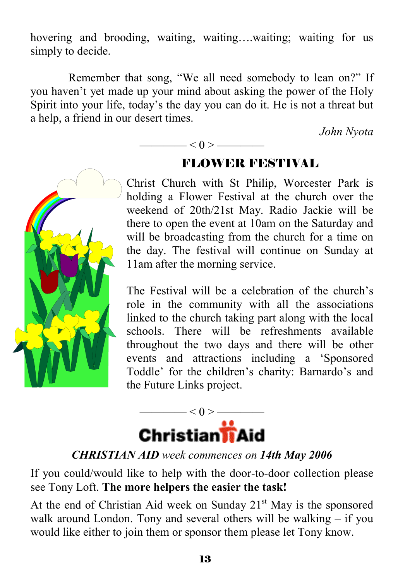hovering and brooding, waiting, waiting..., waiting; waiting for us simply to decide.

 Remember that song, "We all need somebody to lean on?" If you haven't yet made up your mind about asking the power of the Holy Spirit into your life, today's the day you can do it. He is not a threat but a help, a friend in our desert times.

 $\leq 0$  >  $\leq$ 

*John Nyota* 



## FLOWER FESTIVAL

Christ Church with St Philip, Worcester Park is holding a Flower Festival at the church over the weekend of 20th/21st May. Radio Jackie will be there to open the event at 10am on the Saturday and will be broadcasting from the church for a time on the day. The festival will continue on Sunday at 11am after the morning service.

The Festival will be a celebration of the church's role in the community with all the associations linked to the church taking part along with the local schools. There will be refreshments available throughout the two days and there will be other events and attractions including a 'Sponsored Toddle' for the children's charity: Barnardo's and the Future Links project.



#### *CHRISTIAN AID week commences on 14th May 2006*

If you could/would like to help with the door-to-door collection please see Tony Loft. **The more helpers the easier the task!**

At the end of Christian Aid week on Sunday  $21<sup>st</sup>$  May is the sponsored walk around London. Tony and several others will be walking – if you would like either to join them or sponsor them please let Tony know.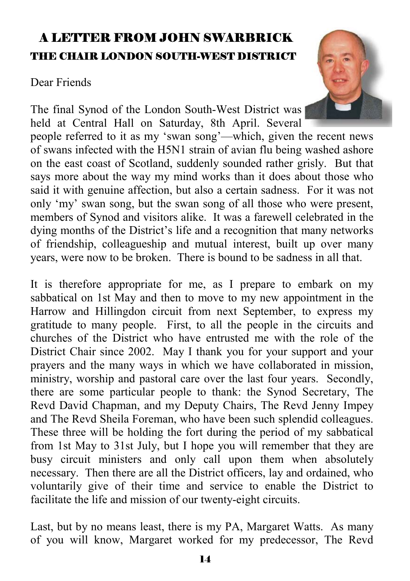## A LETTER FROM JOHN SWARBRICK THE CHAIR LONDON SOUTH-WEST DISTRICT

#### Dear Friends

The final Synod of the London South-West District was held at Central Hall on Saturday, 8th April. Several

people referred to it as my 'swan song'—which, given the recent news of swans infected with the H5N1 strain of avian flu being washed ashore on the east coast of Scotland, suddenly sounded rather grisly. But that says more about the way my mind works than it does about those who said it with genuine affection, but also a certain sadness. For it was not only 'my' swan song, but the swan song of all those who were present, members of Synod and visitors alike. It was a farewell celebrated in the dying months of the District's life and a recognition that many networks of friendship, colleagueship and mutual interest, built up over many years, were now to be broken. There is bound to be sadness in all that.

It is therefore appropriate for me, as I prepare to embark on my sabbatical on 1st May and then to move to my new appointment in the Harrow and Hillingdon circuit from next September, to express my gratitude to many people. First, to all the people in the circuits and churches of the District who have entrusted me with the role of the District Chair since 2002. May I thank you for your support and your prayers and the many ways in which we have collaborated in mission, ministry, worship and pastoral care over the last four years. Secondly, there are some particular people to thank: the Synod Secretary, The Revd David Chapman, and my Deputy Chairs, The Revd Jenny Impey and The Revd Sheila Foreman, who have been such splendid colleagues. These three will be holding the fort during the period of my sabbatical from 1st May to 31st July, but I hope you will remember that they are busy circuit ministers and only call upon them when absolutely necessary. Then there are all the District officers, lay and ordained, who voluntarily give of their time and service to enable the District to facilitate the life and mission of our twenty-eight circuits.

Last, but by no means least, there is my PA, Margaret Watts. As many of you will know, Margaret worked for my predecessor, The Revd

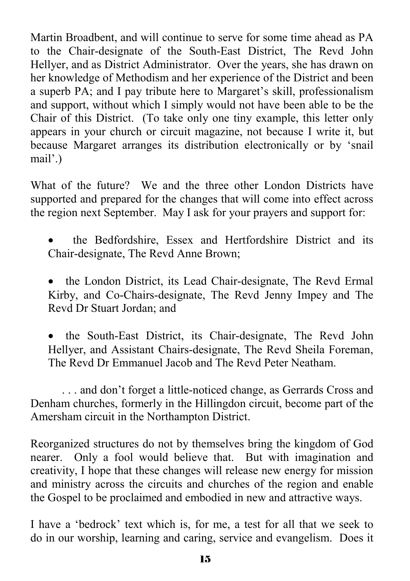Martin Broadbent, and will continue to serve for some time ahead as PA to the Chair-designate of the South-East District, The Revd John Hellyer, and as District Administrator. Over the years, she has drawn on her knowledge of Methodism and her experience of the District and been a superb PA; and I pay tribute here to Margaret's skill, professionalism and support, without which I simply would not have been able to be the Chair of this District. (To take only one tiny example, this letter only appears in your church or circuit magazine, not because I write it, but because Margaret arranges its distribution electronically or by 'snail mail'.)

What of the future? We and the three other London Districts have supported and prepared for the changes that will come into effect across the region next September. May I ask for your prayers and support for:

- the Bedfordshire, Essex and Hertfordshire District and its Chair-designate, The Revd Anne Brown;
- the London District, its Lead Chair-designate, The Revd Ermal Kirby, and Co-Chairs-designate, The Revd Jenny Impey and The Revd Dr Stuart Jordan; and
- the South-East District, its Chair-designate, The Revd John Hellyer, and Assistant Chairs-designate, The Revd Sheila Foreman, The Revd Dr Emmanuel Jacob and The Revd Peter Neatham.

 . . . and don't forget a little-noticed change, as Gerrards Cross and Denham churches, formerly in the Hillingdon circuit, become part of the Amersham circuit in the Northampton District.

Reorganized structures do not by themselves bring the kingdom of God nearer. Only a fool would believe that. But with imagination and creativity, I hope that these changes will release new energy for mission and ministry across the circuits and churches of the region and enable the Gospel to be proclaimed and embodied in new and attractive ways.

I have a 'bedrock' text which is, for me, a test for all that we seek to do in our worship, learning and caring, service and evangelism. Does it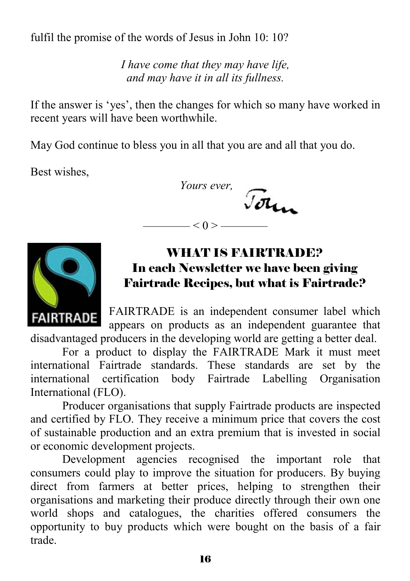fulfil the promise of the words of Jesus in John 10: 10?

*I have come that they may have life, and may have it in all its fullness.* 

If the answer is 'yes', then the changes for which so many have worked in recent years will have been worthwhile.

May God continue to bless you in all that you are and all that you do.

Best wishes,

 *Yours ever,*  Jour  $-$  < 0 >  $-$ 



## WHAT IS FAIRTRADE? In each Newsletter we have been giving Fairtrade Recipes, but what is Fairtrade?

FAIRTRADE is an independent consumer label which appears on products as an independent guarantee that disadvantaged producers in the developing world are getting a better deal.

 For a product to display the FAIRTRADE Mark it must meet international Fairtrade standards. These standards are set by the international certification body Fairtrade Labelling Organisation International (FLO).

 Producer organisations that supply Fairtrade products are inspected and certified by FLO. They receive a minimum price that covers the cost of sustainable production and an extra premium that is invested in social or economic development projects.

 Development agencies recognised the important role that consumers could play to improve the situation for producers. By buying direct from farmers at better prices, helping to strengthen their organisations and marketing their produce directly through their own one world shops and catalogues, the charities offered consumers the opportunity to buy products which were bought on the basis of a fair trade.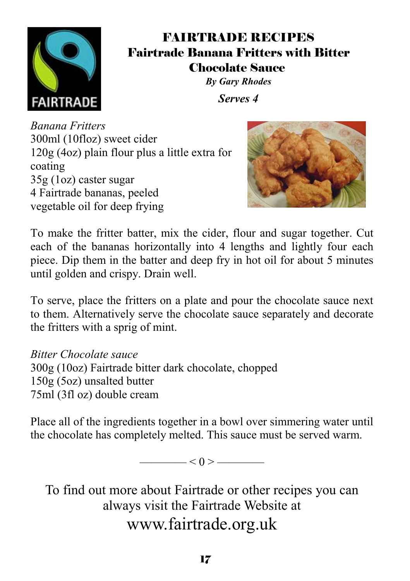

### FAIRTRADE RECIPES Fairtrade Banana Fritters with Bitter Chocolate Sauce

*By Gary Rhodes Serves 4* 

*Banana Fritters* 300ml (10floz) sweet cider 120g (4oz) plain flour plus a little extra for coating 35g (1oz) caster sugar 4 Fairtrade bananas, peeled vegetable oil for deep frying



To make the fritter batter, mix the cider, flour and sugar together. Cut each of the bananas horizontally into 4 lengths and lightly four each piece. Dip them in the batter and deep fry in hot oil for about 5 minutes until golden and crispy. Drain well.

To serve, place the fritters on a plate and pour the chocolate sauce next to them. Alternatively serve the chocolate sauce separately and decorate the fritters with a sprig of mint.

*Bitter Chocolate sauce* 300g (10oz) Fairtrade bitter dark chocolate, chopped 150g (5oz) unsalted butter 75ml (3fl oz) double cream

Place all of the ingredients together in a bowl over simmering water until the chocolate has completely melted. This sauce must be served warm.

 $< 0 > \fbox{$ 

To find out more about Fairtrade or other recipes you can always visit the Fairtrade Website at www.fairtrade.org.uk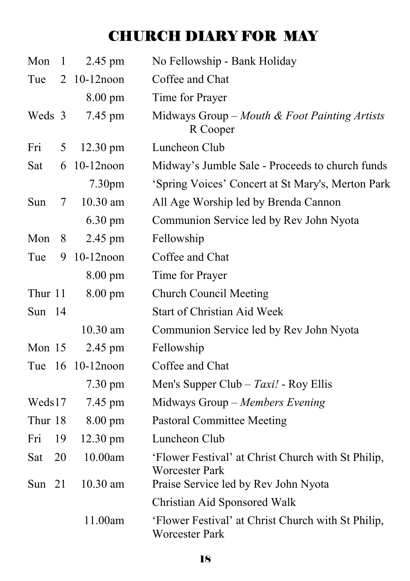## CHURCH DIARY FOR MAY

| Mon      | $\mathbf{1}$ | 2.45 pm            | No Fellowship - Bank Holiday                                                |
|----------|--------------|--------------------|-----------------------------------------------------------------------------|
| Tue      | 2            | $10-12$ noon       | Coffee and Chat                                                             |
|          |              | 8.00 pm            | Time for Prayer                                                             |
| Weds 3   |              | 7.45 pm            | Midways Group – Mouth & Foot Painting Artists<br>R Cooper                   |
| Fri      | 5            | 12.30 pm           | Luncheon Club                                                               |
| Sat      | 6            | $10-12$ noon       | Midway's Jumble Sale - Proceeds to church funds                             |
|          |              | 7.30 <sub>pm</sub> | 'Spring Voices' Concert at St Mary's, Merton Park                           |
| Sun      | 7            | 10.30 am           | All Age Worship led by Brenda Cannon                                        |
|          |              | 6.30 pm            | Communion Service led by Rev John Nyota                                     |
| Mon      | 8            | 2.45 pm            | Fellowship                                                                  |
| Tue      | 9            | $10-12$ noon       | Coffee and Chat                                                             |
|          |              | 8.00 pm            | Time for Prayer                                                             |
| Thur 11  |              | 8.00 pm            | <b>Church Council Meeting</b>                                               |
| Sun $14$ |              |                    | <b>Start of Christian Aid Week</b>                                          |
|          |              | 10.30 am           | Communion Service led by Rev John Nyota                                     |
| Mon 15   |              | 2.45 pm            | Fellowship                                                                  |
|          |              | Tue 16 10-12 noon  | Coffee and Chat                                                             |
|          |              | $7.30 \text{ pm}$  | Men's Supper Club – $Taxi!$ - Roy Ellis                                     |
| Weds17   |              | 7.45 pm            | Midways Group - Members Evening                                             |
| Thur 18  |              | 8.00 pm            | <b>Pastoral Committee Meeting</b>                                           |
| Fri      | 19           | $12.30 \text{ pm}$ | Luncheon Club                                                               |
| Sat      | 20           | 10.00am            | 'Flower Festival' at Christ Church with St Philip,<br><b>Worcester Park</b> |
| Sun $21$ |              | 10.30 am           | Praise Service led by Rev John Nyota                                        |
|          |              |                    | Christian Aid Sponsored Walk                                                |
|          |              | 11.00am            | 'Flower Festival' at Christ Church with St Philip,<br>Worcester Park        |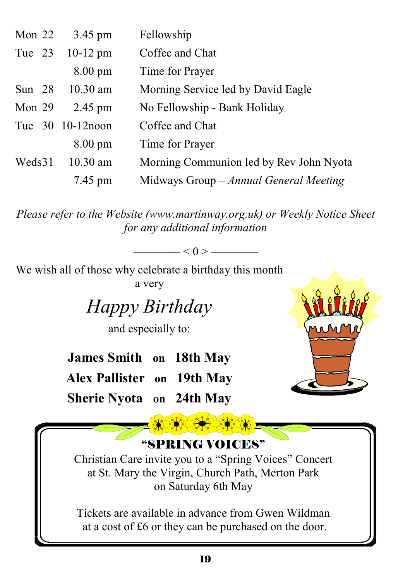| Mon $22$ | 3.45 pm           | Fellowship                              |
|----------|-------------------|-----------------------------------------|
| Tue 23   | $10-12$ pm        | Coffee and Chat                         |
|          | $8.00 \text{ pm}$ | Time for Prayer                         |
| Sun $28$ | $10.30$ am        | Morning Service led by David Eagle      |
| Mon $29$ | $2.45$ pm         | No Fellowship - Bank Holiday            |
|          | Tue 30 10-12 noon | Coffee and Chat                         |
|          | $8.00 \text{ pm}$ | Time for Prayer                         |
| Weds31   | $10.30$ am        | Morning Communion led by Rev John Nyota |
|          | 7.45 pm           | Midways Group – Annual General Meeting  |

*Please refer to the Website (www.martinway.org.uk) or Weekly Notice Sheet for any additional information* 

 $- < 0 >$  —

We wish all of those why celebrate a birthday this month a very

*Happy Birthday* 

and especially to:

**James Smith on 18th May Alex Pallister on 19th May Sherie Nyota on 24th May** 





at a cost of £6 or they can be purchased on the door.